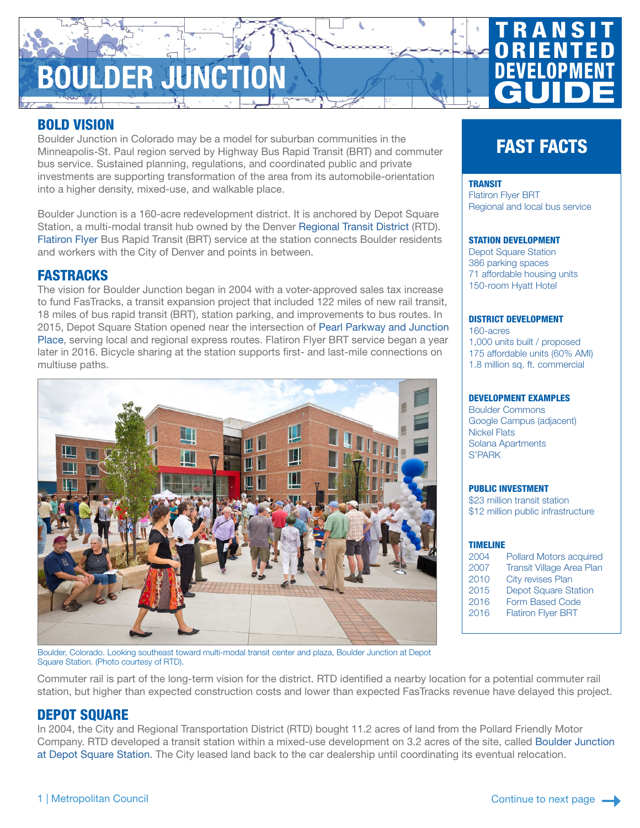# **ULDER JUNCTION**

**TRANSIT ORIENTED** DEVELOPMENT **GUIDE** 

## BOLD VISION

Boulder Junction in Colorado may be a model for suburban communities in the Minneapolis-St. Paul region served by Highway Bus Rapid Transit (BRT) and commuter bus service. Sustained planning, regulations, and coordinated public and private investments are supporting transformation of the area from its automobile-orientation into a higher density, mixed-use, and walkable place.

Boulder Junction is a 160-acre redevelopment district. It is anchored by Depot Square Station, a multi-modal transit hub owned by the Denver [Regional Transit District](http://www.rtd-denver.com/) (RTD). [Flatiron Flyer](http://www.rtd-denver.com/flatiron-flyer.shtml) Bus Rapid Transit (BRT) service at the station connects Boulder residents and workers with the City of Denver and points in between.

#### FASTRACKS

The vision for Boulder Junction began in 2004 with a voter-approved sales tax increase to fund FasTracks, a transit expansion project that included 122 miles of new rail transit, 18 miles of bus rapid transit (BRT), station parking, and improvements to bus routes. In 2015, Depot Square Station opened near the intersection of [Pearl Parkway and Junction](https://www.google.com/maps/@40.0238808,-105.2521206,19z)  [Place,](https://www.google.com/maps/@40.0238808,-105.2521206,19z) serving local and regional express routes. Flatiron Flyer BRT service began a year later in 2016. Bicycle sharing at the station supports first- and last-mile connections on multiuse paths.



## FAST FACTS

#### **TRANSIT**

[Flatiron Flyer BRT](http://www.rtd-denver.com/flatiron-flyer.shtml) Regional and local bus service

#### STATION DEVELOPMENT

Depot Square Station 386 parking spaces 71 affordable housing units 150-room Hyatt Hotel

#### DISTRICT DEVELOPMENT

160-acres 1,000 units built / proposed 175 affordable units (60% AMI) 1.8 million sq. ft. commercial

#### DEVELOPMENT EXAMPLES

Boulder Commons Google Campus (adjacent) Nickel Flats Solana Apartments S'PARK

#### PUBLIC INVESTMENT

\$23 million transit station \$12 million public infrastructure

| ٠ |  |  |  |
|---|--|--|--|
|   |  |  |  |

| 2004 | Pollard Motors acquired          |
|------|----------------------------------|
| 2007 | <b>Transit Village Area Plan</b> |
| 2010 | City revises Plan                |
| 2015 | <b>Depot Square Station</b>      |
| 2016 | Form Based Code                  |
| 2016 | <b>Flatiron Flyer BRT</b>        |
|      |                                  |

Boulder, Colorado. Looking southeast toward multi-modal transit center and plaza, Boulder Junction at Depot Square Station. (Photo courtesy of RTD).

Commuter rail is part of the long-term vision for the district. RTD identified a nearby location for a potential commuter rail station, but higher than expected construction costs and lower than expected FasTracks revenue have delayed this project.

## DEPOT SQUARE

In 2004, the City and Regional Transportation District (RTD) bought 11.2 acres of land from the Pollard Friendly Motor Company. RTD developed a transit station within a mixed-use development on 3.2 acres of the site, called [Boulder Junction](https://www.google.com/maps/@40.0244613,-105.250996,341m/data=!3m1!1e3)  [at Depot Square Station](https://www.google.com/maps/@40.0244613,-105.250996,341m/data=!3m1!1e3). The City leased land back to the car dealership until coordinating its eventual relocation.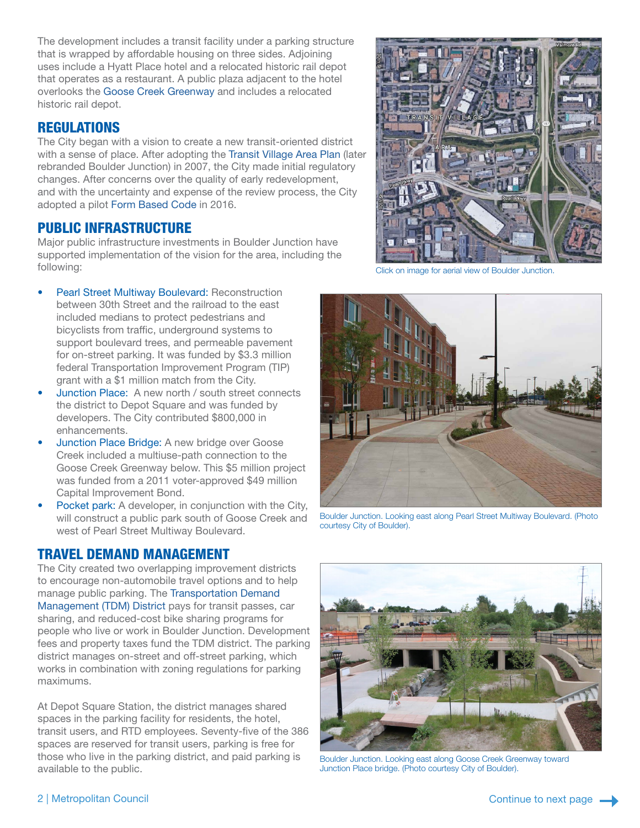The development includes a transit facility under a parking structure that is wrapped by affordable housing on three sides. Adjoining uses include a Hyatt Place hotel and a relocated historic rail depot that operates as a restaurant. A public plaza adjacent to the hotel overlooks the [Goose Creek Greenway](https://bouldercolorado.gov/water/greenways-program) and includes a relocated historic rail depot.

#### **REGULATIONS**

The City began with a vision to create a new transit-oriented district with a sense of place. After adopting the [Transit Village Area Plan](https://www-static.bouldercolorado.gov/docs/transit-village-area-plan-low-1-201305151134.pdf?_ga=2.76693973.1167373434.1534268879-43207715.1533753401) (later rebranded Boulder Junction) in 2007, the City made initial regulatory changes. After concerns over the quality of early redevelopment, and with the uncertainty and expense of the review process, the City adopted a pilot [Form Based Code](https://bouldercolorado.gov/plan-develop/form-based-code) in 2016.

### PUBLIC INFRASTRUCTURE

Major public infrastructure investments in Boulder Junction have supported implementation of the vision for the area, including the following:

- Pearl Street Multiway Boulevard: Reconstruction between 30th Street and the railroad to the east included medians to protect pedestrians and bicyclists from traffic, underground systems to support boulevard trees, and permeable pavement for on-street parking. It was funded by \$3.3 million federal Transportation Improvement Program (TIP) grant with a \$1 million match from the City.
- Junction Place: A new north / south street connects the district to Depot Square and was funded by developers. The City contributed \$800,000 in enhancements.
- Junction Place Bridge: A new bridge over Goose Creek included a multiuse-path connection to the Goose Creek Greenway below. This \$5 million project was funded from a 2011 voter-approved \$49 million Capital Improvement Bond.
- Pocket park: A developer, in conjunction with the City, will construct a public park south of Goose Creek and west of Pearl Street Multiway Boulevard.

#### TRAVEL DEMAND MANAGEMENT

The City created two overlapping improvement districts to encourage non-automobile travel options and to help manage public parking. The [Transportation Demand](https://bouldercolorado.gov/pages/boulder-junction-3)  [Management \(TDM\) District](https://bouldercolorado.gov/pages/boulder-junction-3) pays for transit passes, car sharing, and reduced-cost bike sharing programs for people who live or work in Boulder Junction. Development fees and property taxes fund the TDM district. The parking district manages on-street and off-street parking, which works in combination with zoning regulations for parking maximums.

At Depot Square Station, the district manages shared spaces in the parking facility for residents, the hotel, transit users, and RTD employees. Seventy-five of the 386 spaces are reserved for transit users, parking is free for those who live in the parking district, and paid parking is available to the public.



[Click on image for aerial view of Boulder Junction.](https://www.google.com/maps/@40.0243255,-105.2509106,504m/data=!3m1!1e3)



Boulder Junction. Looking east along Pearl Street Multiway Boulevard. (Photo courtesy City of Boulder).



Boulder Junction. Looking east along Goose Creek Greenway toward Junction Place bridge. (Photo courtesy City of Boulder).